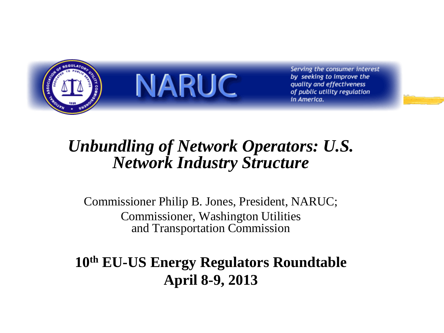

**NARUC** 

Serving the consumer interest by seeking to improve the quality and effectiveness of public utility regulation in America.

#### *Unbundling of Network Operators: U.S. Network Industry Structure*

Commissioner Philip B. Jones, President, NARUC; Commissioner, Washington Utilities and Transportation Commission

**10th EU-US Energy Regulators Roundtable April 8-9, 2013**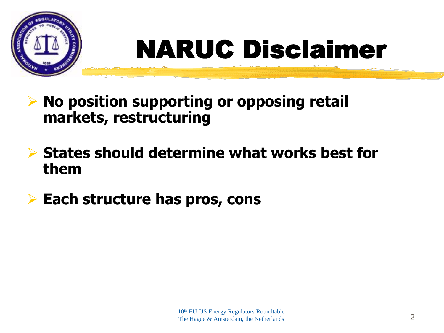

# NARUC Disclaimer

- **No position supporting or opposing retail markets, restructuring**
- **States should determine what works best for them**
- **Each structure has pros, cons**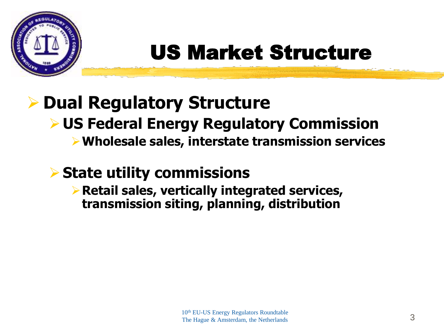

## US Market Structure

## **Dual Regulatory Structure**

### **US Federal Energy Regulatory Commission**

**Wholesale sales, interstate transmission services**

### **State utility commissions**

**Retail sales, vertically integrated services, transmission siting, planning, distribution**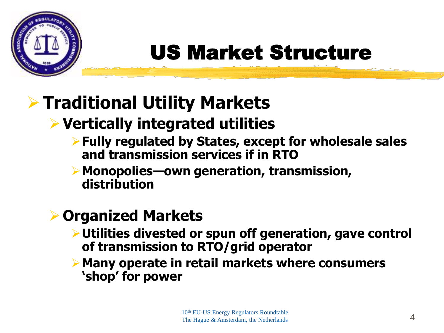

## US Market Structure

## **Traditional Utility Markets**

## **Vertically integrated utilities**

- **Fully regulated by States, except for wholesale sales and transmission services if in RTO**
- **Monopolies—own generation, transmission, distribution**

#### **Organized Markets**

- **Utilities divested or spun off generation, gave control of transmission to RTO/grid operator**
- **Many operate in retail markets where consumers 'shop' for power**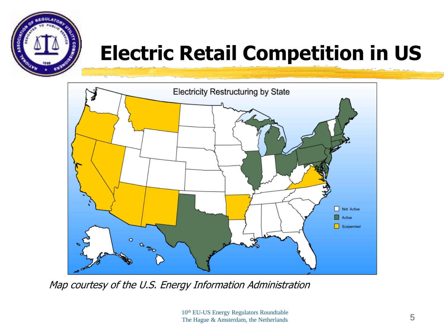

## **Electric Retail Competition in US**



Map courtesy of the U.S. Energy Information Administration

10<sup>th</sup> EU-US Energy Regulators Roundtable The Hague & Amsterdam, the Netherlands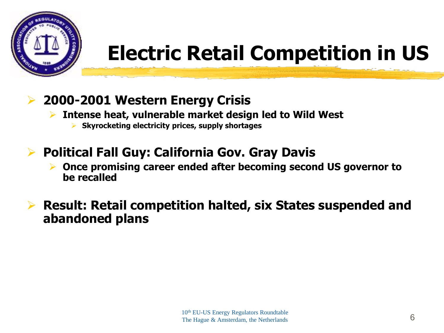

## **Electric Retail Competition in US**

- **2000-2001 Western Energy Crisis**
	- **Intense heat, vulnerable market design led to Wild West**
		- **Skyrocketing electricity prices, supply shortages**
- **Political Fall Guy: California Gov. Gray Davis** 
	- **Once promising career ended after becoming second US governor to be recalled**
- **Result: Retail competition halted, six States suspended and abandoned plans**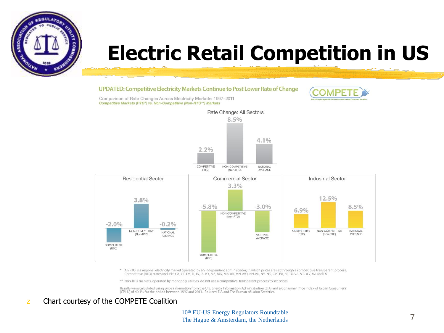

## **Electric Retail Competition in US**

#### UPDATED: Competitive Electricity Markets Continue to Post Lower Rate of Change



Comparison of Rate Changes Across Electricity Markets: 1997-2011 Competitive Markets (RTO\*) vs. Non-Competitive (Non-RTO\*\*) Markets



\* An RTO is a regional electricity market operated by an independent administrator, in which prices are set through a competitive transparent process. Competitive (RTO) states include: CA, CT, DE, IL, IN, IA, KY, ME, MD, MA, MI, MN, MO, NH, NJ, NY, ND, OH, PA, RI, TX, VA, VT, WV, WI and DC

\*\* Non-RTO markets, operated by monopoly utilities, do not use a competitive, transparent process to set prices

Results were calculated using price information from the U.S. Energy Information Administration (EIA) and a Consumer Price Index of Urban Consumers<br>(CPI-U) of 40.1% for the period between 1997 and 2011. Sources: EIA and Th

#### z Chart courtesy of the COMPETE Coalition

10<sup>th</sup> EU-US Energy Regulators Roundtable The Hague & Amsterdam, the Netherlands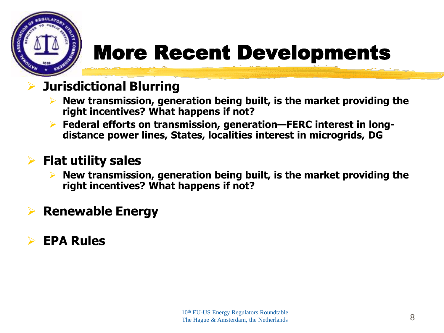

## More Recent Developments

#### **Jurisdictional Blurring**

- **New transmission, generation being built, is the market providing the right incentives? What happens if not?**
- **Federal efforts on transmission, generation—FERC interest in longdistance power lines, States, localities interest in microgrids, DG**

#### **Flat utility sales**

 **New transmission, generation being built, is the market providing the right incentives? What happens if not?**

#### **Renewable Energy**

#### **EPA Rules**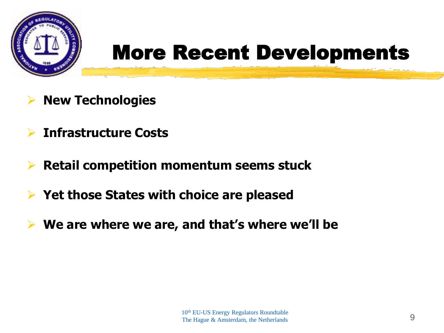

## More Recent Developments

- **New Technologies**
- **Infrastructure Costs**
- **Retail competition momentum seems stuck**
- **Yet those States with choice are pleased**
- **We are where we are, and that's where we'll be**